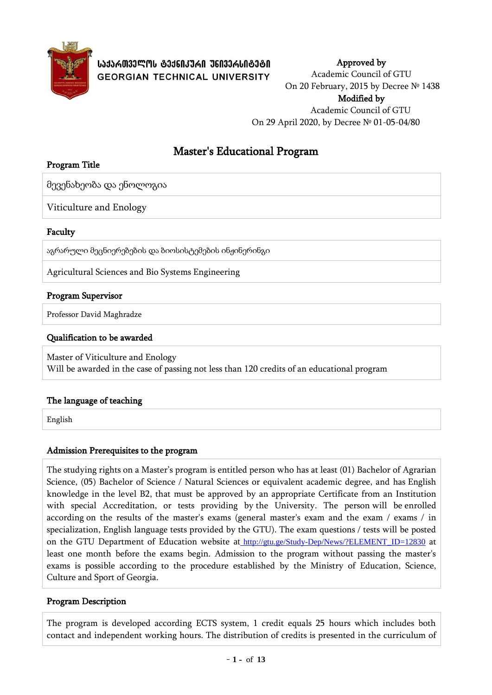

# Master's Educational Program

## Program Title

მევენახეობა და ენოლოგია

Viticulture and Enology

## Faculty

აგრარული მეცნიერებების და ბიოსისტემების ინჟინერინგი

Agricultural Sciences and Bio Systems Engineering

## Program Supervisor

Professor David Maghradze

## Qualification to be awarded

Master of Viticulture and Enology Will be awarded in the case of passing not less than 120 credits of an educational program

## The language of teaching

English

## Admission Prerequisites to the program

The studying rights on a Master's program is entitled person who has at least (01) Bachelor of Agrarian Science, (05) Bachelor of Science / Natural Sciences or equivalent academic degree, and has English knowledge in the level B2, that must be approved by an appropriate Certificate from an Institution with special Accreditation, or tests providing by the University. The person will be enrolled according on the results of the master's exams (general master's exam and the exam / exams / in specialization, English language tests provided by the GTU). The exam questions / tests will be posted on the GTU Department of Education website at [http://gtu.ge/Study-Dep/News/?ELEMENT\\_ID=12830](http://gtu.ge/Study-Dep/News/?ELEMENT_ID=12830) at least one month before the exams begin. Admission to the program without passing the master's exams is possible according to the procedure established by the Ministry of Education, Science, Culture and Sport of Georgia.

### Program Description

The program is developed according ECTS system, 1 credit equals 25 hours which includes both contact and independent working hours. The distribution of credits is presented in the curriculum of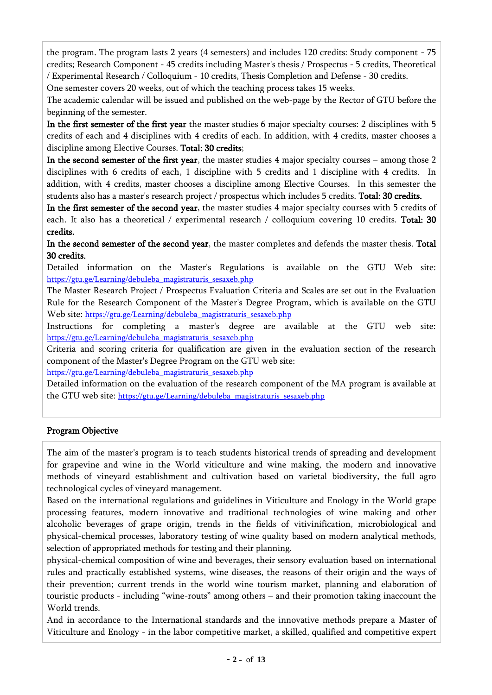the program. The program lasts 2 years (4 semesters) and includes 120 credits: Study component - 75 credits; Research Component - 45 credits including Master's thesis / Prospectus - 5 credits, Theoretical / Experimental Research / Colloquium - 10 credits, Thesis Completion and Defense - 30 credits.

One semester covers 20 weeks, out of which the teaching process takes 15 weeks.

The academic calendar will be issued and published on the web-page by the Rector of GTU before the beginning of the semester.

In the first semester of the first year the master studies 6 major specialty courses: 2 disciplines with 5 credits of each and 4 disciplines with 4 credits of each. In addition, with 4 credits, master chooses a discipline among Elective Courses. Total: 30 credits;

In the second semester of the first year, the master studies 4 major specialty courses – among those 2 disciplines with 6 credits of each, 1 discipline with 5 credits and 1 discipline with 4 credits. In addition, with 4 credits, master chooses a discipline among Elective Courses. In this semester the students also has a master's research project / prospectus which includes 5 credits. Total: 30 credits.

In the first semester of the second year, the master studies 4 major specialty courses with 5 credits of each. It also has a theoretical / experimental research / colloquium covering 10 credits. **Total: 30** credits.

In the second semester of the second year, the master completes and defends the master thesis. Total 30 credits.

Detailed information on the Master's Regulations is available on the GTU Web site: [https://gtu.ge/Learning/debuleba\\_magistraturis\\_sesaxeb.php](https://gtu.ge/Learning/debuleba_magistraturis_sesaxeb.php)

The Master Research Project / Prospectus Evaluation Criteria and Scales are set out in the Evaluation Rule for the Research Component of the Master's Degree Program, which is available on the GTU Web site: [https://gtu.ge/Learning/debuleba\\_magistraturis\\_sesaxeb.php](https://gtu.ge/Learning/debuleba_magistraturis_sesaxeb.php)

Instructions for completing a master's degree are available at the GTU web site: [https://gtu.ge/Learning/debuleba\\_magistraturis\\_sesaxeb.php](https://gtu.ge/Learning/debuleba_magistraturis_sesaxeb.php)

Criteria and scoring criteria for qualification are given in the evaluation section of the research component of the Master's Degree Program on the GTU web site:

[https://gtu.ge/Learning/debuleba\\_magistraturis\\_sesaxeb.php](https://gtu.ge/Learning/debuleba_magistraturis_sesaxeb.php)

Detailed information on the evaluation of the research component of the MA program is available at the GTU web site: [https://gtu.ge/Learning/debuleba\\_magistraturis\\_sesaxeb.php](https://gtu.ge/Learning/debuleba_magistraturis_sesaxeb.php)

# Program Objective

The aim of the master's program is to teach students historical trends of spreading and development for grapevine and wine in the World viticulture and wine making, the modern and innovative methods of vineyard establishment and cultivation based on varietal biodiversity, the full agro technological cycles of vineyard management.

Based on the international regulations and guidelines in Viticulture and Enology in the World grape processing features, modern innovative and traditional technologies of wine making and other alcoholic beverages of grape origin, trends in the fields of vitivinification, microbiological and physical-chemical processes, laboratory testing of wine quality based on modern analytical methods, selection of appropriated methods for testing and their planning.

physical-chemical composition of wine and beverages, their sensory evaluation based on international rules and practically established systems, wine diseases, the reasons of their origin and the ways of their prevention; current trends in the world wine tourism market, planning and elaboration of touristic products - including "wine-routs" among others – and their promotion taking inaccount the World trends.

And in accordance to the International standards and the innovative methods prepare a Master of Viticulture and Enology - in the labor competitive market, a skilled, qualified and competitive expert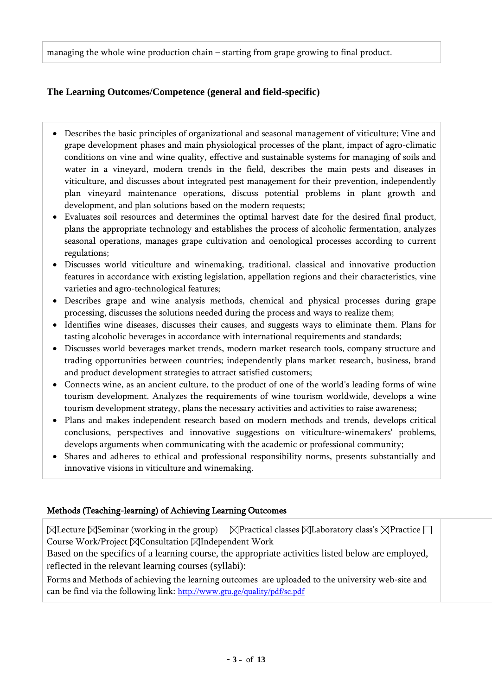managing the whole wine production chain – starting from grape growing to final product.

# **The Learning Outcomes/Competence (general and field-specific)**

- Describes the basic principles of organizational and seasonal management of viticulture; Vine and grape development phases and main physiological processes of the plant, impact of agro-climatic conditions on vine and wine quality, effective and sustainable systems for managing of soils and water in a vineyard, modern trends in the field, describes the main pests and diseases in viticulture, and discusses about integrated pest management for their prevention, independently plan vineyard maintenance operations, discuss potential problems in plant growth and development, and plan solutions based on the modern requests;
- Evaluates soil resources and determines the optimal harvest date for the desired final product, plans the appropriate technology and establishes the process of alcoholic fermentation, analyzes seasonal operations, manages grape cultivation and oenological processes according to current regulations;
- Discusses world viticulture and winemaking, traditional, classical and innovative production features in accordance with existing legislation, appellation regions and their characteristics, vine varieties and agro-technological features;
- Describes grape and wine analysis methods, chemical and physical processes during grape processing, discusses the solutions needed during the process and ways to realize them;
- Identifies wine diseases, discusses their causes, and suggests ways to eliminate them. Plans for tasting alcoholic beverages in accordance with international requirements and standards;
- Discusses world beverages market trends, modern market research tools, company structure and trading opportunities between countries; independently plans market research, business, brand and product development strategies to attract satisfied customers;
- Connects wine, as an ancient culture, to the product of one of the world's leading forms of wine tourism development. Analyzes the requirements of wine tourism worldwide, develops a wine tourism development strategy, plans the necessary activities and activities to raise awareness;
- Plans and makes independent research based on modern methods and trends, develops critical conclusions, perspectives and innovative suggestions on viticulture-winemakers' problems, develops arguments when communicating with the academic or professional community;
- Shares and adheres to ethical and professional responsibility norms, presents substantially and innovative visions in viticulture and winemaking.

## Methods (Teaching-learning) of Achieving Learning Outcomes

 $\boxtimes$ Lecture  $\boxtimes$ Seminar (working in the group)  $\boxtimes$ Practical classes  $\boxtimes$ Laboratory class's  $\boxtimes$ Practice  $\Box$ Course Work/Project  $\boxtimes$ Consultation  $\boxtimes$ Independent Work

Based on the specifics of a learning course, the appropriate activities listed below are employed, reflected in the relevant learning courses (syllabi):

Forms and Methods of achieving the learning outcomes are uploaded to the university web-site and can be find via the following link: <http://www.gtu.ge/quality/pdf/sc.pdf>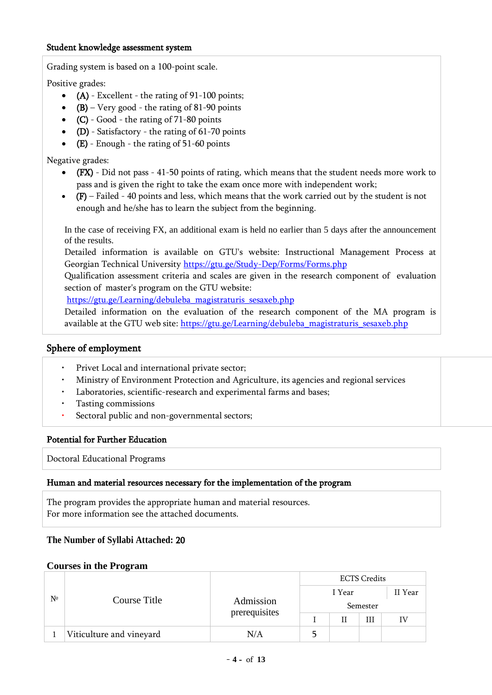#### Student knowledge assessment system

Grading system is based on a 100-point scale.

Positive grades:

- $\bullet$  (A) Excellent the rating of 91-100 points;
- (B) Very good the rating of 81-90 points
- $(C)$  Good the rating of 71-80 points
- (D) Satisfactory the rating of  $61-70$  points
- $\bullet$  (E) Enough the rating of 51-60 points

Negative grades:

- (FX) Did not pass 41-50 points of rating, which means that the student needs more work to pass and is given the right to take the exam once more with independent work;
- $\bullet$  (F) Failed 40 points and less, which means that the work carried out by the student is not enough and he/she has to learn the subject from the beginning.

In the case of receiving FX, an additional exam is held no earlier than 5 days after the announcement of the results.

Detailed information is available on GTU's website: Instructional Management Process at Georgian Technical University <https://gtu.ge/Study-Dep/Forms/Forms.php>

Qualification assessment criteria and scales are given in the research component of evaluation section of master's program on the GTU website:

[https://gtu.ge/Learning/debuleba\\_magistraturis\\_sesaxeb.php](https://gtu.ge/Learning/debuleba_magistraturis_sesaxeb.php)

Detailed information on the evaluation of the research component of the MA program is available at the GTU web site: [https://gtu.ge/Learning/debuleba\\_magistraturis\\_sesaxeb.php](https://gtu.ge/Learning/debuleba_magistraturis_sesaxeb.php)

### Sphere of employment

- Privet Local and international private sector;
- Ministry of Environment Protection and Agriculture, its agencies and regional services
- Laboratories, scientific-research and experimental farms and bases;
- Tasting commissions
- Sectoral public and non-governmental sectors;

#### Potential for Further Education

Doctoral Educational Programs

#### Human and material resources necessary for the implementation of the program

The program provides the appropriate human and material resources. For more information see the attached documents.

### **The Number of Syllabi Attached:** 20

#### **Courses in the Program**

| Nº |                          |               | <b>ECTS Credits</b> |         |   |    |  |  |
|----|--------------------------|---------------|---------------------|---------|---|----|--|--|
|    |                          |               |                     | II Year |   |    |  |  |
|    | Course Title             | Admission     | Semester            |         |   |    |  |  |
|    |                          | prerequisites |                     |         | Ш | IV |  |  |
|    | Viticulture and vineyard | N/A           |                     |         |   |    |  |  |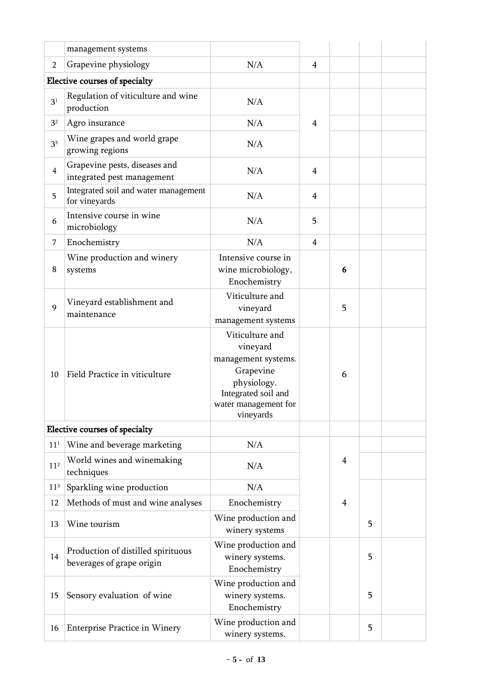|                 | management systems                                              |                                                                                                                                            |                |   |   |  |
|-----------------|-----------------------------------------------------------------|--------------------------------------------------------------------------------------------------------------------------------------------|----------------|---|---|--|
| $\overline{2}$  | Grapevine physiology                                            | N/A                                                                                                                                        | $\overline{4}$ |   |   |  |
|                 | Elective courses of specialty                                   |                                                                                                                                            |                |   |   |  |
| 3 <sup>1</sup>  | Regulation of viticulture and wine<br>production                | N/A                                                                                                                                        |                |   |   |  |
| 3 <sup>2</sup>  | Agro insurance                                                  | N/A                                                                                                                                        | $\overline{4}$ |   |   |  |
| 3 <sup>3</sup>  | Wine grapes and world grape<br>growing regions                  | N/A                                                                                                                                        |                |   |   |  |
| $\overline{4}$  | Grapevine pests, diseases and<br>integrated pest management     | N/A                                                                                                                                        | 4              |   |   |  |
| 5               | Integrated soil and water management<br>for vineyards           | N/A                                                                                                                                        | $\overline{4}$ |   |   |  |
| 6               | Intensive course in wine<br>microbiology                        | N/A                                                                                                                                        | 5              |   |   |  |
| 7               | Enochemistry                                                    | N/A                                                                                                                                        | 4              |   |   |  |
| 8               | Wine production and winery<br>systems                           | Intensive course in<br>wine microbiology,<br>Enochemistry                                                                                  |                | 6 |   |  |
| 9               | Vineyard establishment and<br>maintenance                       | Viticulture and<br>vineyard<br>management systems                                                                                          |                | 5 |   |  |
| 10              | Field Practice in viticulture                                   | Viticulture and<br>vineyard<br>management systems.<br>Grapevine<br>physiology.<br>Integrated soil and<br>water management for<br>vineyards |                | 6 |   |  |
|                 | Elective courses of specialty                                   |                                                                                                                                            |                |   |   |  |
| 11 <sup>1</sup> | Wine and beverage marketing                                     | N/A                                                                                                                                        |                |   |   |  |
| 11 <sup>2</sup> | World wines and winemaking<br>techniques                        | N/A                                                                                                                                        |                | 4 |   |  |
| 11 <sup>3</sup> | Sparkling wine production                                       | N/A                                                                                                                                        |                |   |   |  |
| 12              | Methods of must and wine analyses                               | Enochemistry                                                                                                                               |                | 4 |   |  |
| 13              | Wine tourism                                                    | Wine production and<br>winery systems                                                                                                      |                |   | 5 |  |
| 14              | Production of distilled spirituous<br>beverages of grape origin | Wine production and<br>winery systems.<br>Enochemistry                                                                                     |                |   | 5 |  |
| 15              | Sensory evaluation of wine                                      | Wine production and<br>winery systems.<br>Enochemistry                                                                                     |                |   | 5 |  |
| 16              | <b>Enterprise Practice in Winery</b>                            | Wine production and<br>winery systems.                                                                                                     |                |   | 5 |  |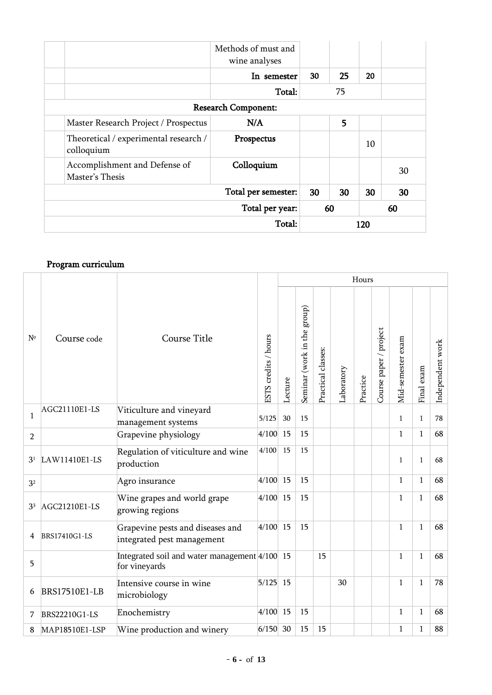|                 |                                       | Methods of must and<br>wine analyses |     |    |    |    |
|-----------------|---------------------------------------|--------------------------------------|-----|----|----|----|
|                 |                                       | In semester                          | 30  | 25 | 20 |    |
|                 |                                       | Total:                               | 75  |    |    |    |
|                 |                                       | <b>Research Component:</b>           |     |    |    |    |
|                 | Master Research Project / Prospectus  | N/A                                  |     | 5  |    |    |
| colloquium      | Theoretical / experimental research / | Prospectus                           |     |    | 10 |    |
| Master's Thesis | Accomplishment and Defense of         | Colloquium                           |     |    |    | 30 |
|                 |                                       | Total per semester:                  | 30  | 30 | 30 | 30 |
|                 | Total per year:                       |                                      |     |    |    | 60 |
|                 |                                       |                                      | 120 |    |    |    |

# Program curriculum

|                |                                              |                                                                |                      |            |                             |                    |            | Hours    |                        |                   |              |                  |
|----------------|----------------------------------------------|----------------------------------------------------------------|----------------------|------------|-----------------------------|--------------------|------------|----------|------------------------|-------------------|--------------|------------------|
| $N^{\circ}$    | Course code                                  | Course Title                                                   | ESTS credits / hours | Lecture    | Seminar (work in the group) | Practical classes: | Laboratory | Practice | Course paper / project | Mid-semester exam | Final exam   | Independent work |
| $\mathbf{1}$   | AGC21110E1-LS                                | Viticulture and vineyard<br>management systems                 | 5/125                | 30         | 15                          |                    |            |          |                        | $\mathbf{1}$      | $\mathbf{1}$ | 78               |
| $\overline{2}$ |                                              | Grapevine physiology                                           | 4/100                | 15         | 15                          |                    |            |          |                        | $\mathbf{1}$      | $\mathbf{1}$ | 68               |
| 3 <sup>1</sup> | LAW11410E1-LS                                | Regulation of viticulture and wine<br>production               | 4/100                | 15         | 15                          |                    |            |          |                        | $\mathbf{1}$      | $\mathbf{1}$ | 68               |
| 3 <sup>2</sup> |                                              | Agro insurance                                                 | 4/100                | 15         | 15                          |                    |            |          |                        | $1\,$             | $\mathbf{1}$ | 68               |
| 3 <sup>3</sup> | AGC21210E1-LS                                | Wine grapes and world grape<br>growing regions                 | 4/100                | 15         | 15                          |                    |            |          |                        | $\mathbf{1}$      | $\mathbf{1}$ | 68               |
| 4              | BRS17410G1-LS                                | Grapevine pests and diseases and<br>integrated pest management | 4/100                | 15         | 15                          |                    |            |          |                        | $\mathbf{1}$      | $\mathbf{1}$ | 68               |
| 5              |                                              | Integrated soil and water management 4/100 15<br>for vineyards |                      |            |                             | 15                 |            |          |                        | $\mathbf{1}$      | $\mathbf{1}$ | 68               |
| 6              | <b>BRS17510E1-LB</b>                         | Intensive course in wine<br>microbiology                       | 5/125                | 15         |                             |                    | 30         |          |                        | $1\,$             | $\mathbf{1}$ | 78               |
| 7              | BRS22210G1-LS                                | Enochemistry                                                   | 4/100                | 15         | 15                          |                    |            |          |                        | $1\,$             | $\mathbf{1}$ | 68               |
| 8              | MAP18510E1-LSP<br>Wine production and winery |                                                                |                      | $6/150$ 30 | 15                          | 15                 |            |          |                        | $\mathbf{1}$      | $\mathbf{1}$ | 88               |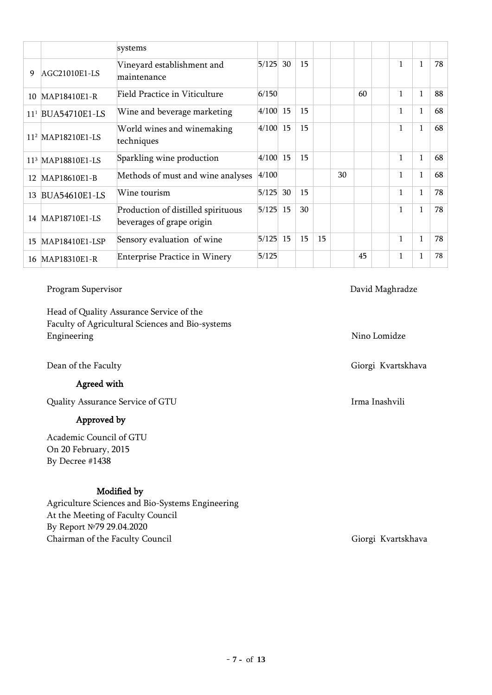|                 |                               | systems                                                         |       |    |    |    |    |    |              |              |    |
|-----------------|-------------------------------|-----------------------------------------------------------------|-------|----|----|----|----|----|--------------|--------------|----|
| 9               | AGC21010E1-LS                 | Vineyard establishment and<br>maintenance                       | 5/125 | 30 | 15 |    |    |    | 1            | $\mathbf{1}$ | 78 |
| 10              | MAP18410E1-R                  | <b>Field Practice in Viticulture</b>                            | 6/150 |    |    |    |    | 60 | $\mathbf{1}$ | $\mathbf{1}$ | 88 |
| 11 <sup>1</sup> | <b>BUA54710E1-LS</b>          | Wine and beverage marketing                                     | 4/100 | 15 | 15 |    |    |    | $\mathbf{1}$ | $\mathbf{1}$ | 68 |
|                 | 11 <sup>2</sup> MAP18210E1-LS | World wines and winemaking<br>techniques                        | 4/100 | 15 | 15 |    |    |    | $\mathbf{1}$ | $\mathbf{1}$ | 68 |
|                 | 113 MAP18810E1-LS             | Sparkling wine production                                       | 4/100 | 15 | 15 |    |    |    | $\mathbf{1}$ | $\mathbf{1}$ | 68 |
| 12              | MAP18610E1-B                  | Methods of must and wine analyses                               | 4/100 |    |    |    | 30 |    | $\mathbf{1}$ | $\mathbf{1}$ | 68 |
| 13              | <b>BUA54610E1-LS</b>          | Wine tourism                                                    | 5/125 | 30 | 15 |    |    |    | $\mathbf{1}$ | $\mathbf{1}$ | 78 |
|                 | 14 MAP18710E1-LS              | Production of distilled spirituous<br>beverages of grape origin | 5/125 | 15 | 30 |    |    |    | $\mathbf{1}$ | $\mathbf{1}$ | 78 |
| 15              | MAP18410E1-LSP                | Sensory evaluation of wine                                      | 5/125 | 15 | 15 | 15 |    |    | $\mathbf{1}$ | $\mathbf{1}$ | 78 |
| 16              | MAP18310E1-R                  | <b>Enterprise Practice in Winery</b>                            | 5/125 |    |    |    |    | 45 | $\mathbf{1}$ | $\mathbf{1}$ | 78 |

### Program Supervisor David Maghradze

Head of Quality Assurance Service of the Faculty of Agricultural Sciences and Bio-systems Engineering Nino Lomidze

Dean of the Faculty Giorgi Kvartskhava Giorgi Kvartskhava

Agreed with

Quality Assurance Service of GTU **If the COVID-SERVICE COVID-SERVICE COVID-S** Irma Inashvili

### Approved by

Academic Council of GTU On 20 February, 2015 By Decree #1438

### Modified by

Agriculture Sciences and Bio-Systems Engineering At the Meeting of Faculty Council By Report №79 29.04.2020 Chairman of the Faculty Council Giorgi Kvartskhava Giorgi Kvartskhava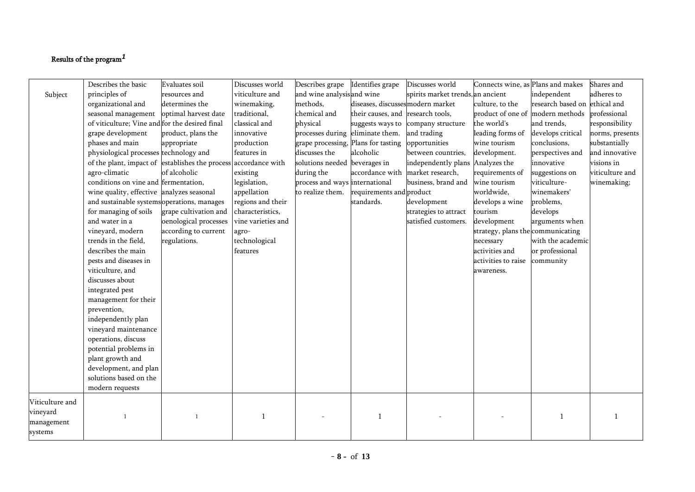## Results of the program*1*

|                             | Describes the basic                                             | Evaluates soil        | Discusses world    | Describes grape                     | Identifies grape                  | Discusses world                   | Connects wine, as Plans and makes |                               | Shares and      |
|-----------------------------|-----------------------------------------------------------------|-----------------------|--------------------|-------------------------------------|-----------------------------------|-----------------------------------|-----------------------------------|-------------------------------|-----------------|
| Subject                     | principles of                                                   | resources and         | viticulture and    | and wine analysisand wine           |                                   | spirits market trends, an ancient |                                   | independent                   | adheres to      |
|                             | organizational and                                              | determines the        | winemaking,        | methods,                            | diseases, discussesmodern market  |                                   | culture, to the                   | research based on ethical and |                 |
|                             | seasonal management                                             | optimal harvest date  | traditional,       | chemical and                        | their causes, and research tools, |                                   | product of one of modern methods  |                               | professional    |
|                             | of viticulture; Vine and for the desired final                  |                       | classical and      | physical                            | suggests ways to                  | company structure                 | the world's                       | and trends,                   | responsibility  |
|                             | grape development                                               | product, plans the    | innovative         | processes during eliminate them.    |                                   | and trading                       | leading forms of                  | develops critical             | norms, presents |
|                             | phases and main                                                 | appropriate           | production         | grape processing, Plans for tasting |                                   | opportunities                     | wine tourism                      | conclusions,                  | substantially   |
|                             | physiological processes technology and                          |                       | features in        | discusses the                       | alcoholic                         | between countries,                | development.                      | perspectives and              | and innovative  |
|                             | of the plant, impact of establishes the process accordance with |                       |                    | solutions needed beverages in       |                                   | independently plans               | Analyzes the                      | innovative                    | visions in      |
|                             | agro-climatic                                                   | of alcoholic          | existing           | during the                          | accordance with                   | market research,                  | requirements of                   | suggestions on                | viticulture and |
|                             | conditions on vine and fermentation,                            |                       | legislation,       | process and ways international      |                                   | business, brand and               | wine tourism                      | viticulture-                  | winemaking;     |
|                             | wine quality, effective analyzes seasonal                       |                       | appellation        | to realize them.                    | requirements and product          |                                   | worldwide,                        | winemakers'                   |                 |
|                             | and sustainable systems operations, manages                     |                       | regions and their  |                                     | standards.                        | development                       | develops a wine                   | problems,                     |                 |
|                             | for managing of soils                                           | grape cultivation and | characteristics,   |                                     |                                   | strategies to attract             | tourism                           | develops                      |                 |
|                             | and water in a                                                  | oenological processes | vine varieties and |                                     |                                   | satisfied customers.              | development                       | arguments when                |                 |
|                             | vineyard, modern                                                | according to current  | agro-              |                                     |                                   |                                   | strategy, plans the communicating |                               |                 |
|                             | trends in the field,                                            | regulations.          | technological      |                                     |                                   |                                   | necessary                         | with the academic             |                 |
|                             | describes the main                                              |                       | features           |                                     |                                   |                                   | activities and                    | or professional               |                 |
|                             | pests and diseases in                                           |                       |                    |                                     |                                   |                                   | activities to raise               | community                     |                 |
|                             | viticulture, and                                                |                       |                    |                                     |                                   |                                   | awareness.                        |                               |                 |
|                             | discusses about                                                 |                       |                    |                                     |                                   |                                   |                                   |                               |                 |
|                             | integrated pest                                                 |                       |                    |                                     |                                   |                                   |                                   |                               |                 |
|                             | management for their                                            |                       |                    |                                     |                                   |                                   |                                   |                               |                 |
|                             | prevention,                                                     |                       |                    |                                     |                                   |                                   |                                   |                               |                 |
|                             | independently plan                                              |                       |                    |                                     |                                   |                                   |                                   |                               |                 |
|                             | vineyard maintenance                                            |                       |                    |                                     |                                   |                                   |                                   |                               |                 |
|                             | operations, discuss                                             |                       |                    |                                     |                                   |                                   |                                   |                               |                 |
|                             | potential problems in                                           |                       |                    |                                     |                                   |                                   |                                   |                               |                 |
|                             | plant growth and                                                |                       |                    |                                     |                                   |                                   |                                   |                               |                 |
|                             | development, and plan                                           |                       |                    |                                     |                                   |                                   |                                   |                               |                 |
|                             | solutions based on the                                          |                       |                    |                                     |                                   |                                   |                                   |                               |                 |
|                             | modern requests                                                 |                       |                    |                                     |                                   |                                   |                                   |                               |                 |
| Viticulture and<br>vineyard | $\mathbf{1}$                                                    |                       | $\mathbf{1}$       |                                     | $\overline{1}$                    |                                   |                                   | $\mathbf{1}$                  | -1              |
| management<br>systems       |                                                                 |                       |                    |                                     |                                   |                                   |                                   |                               |                 |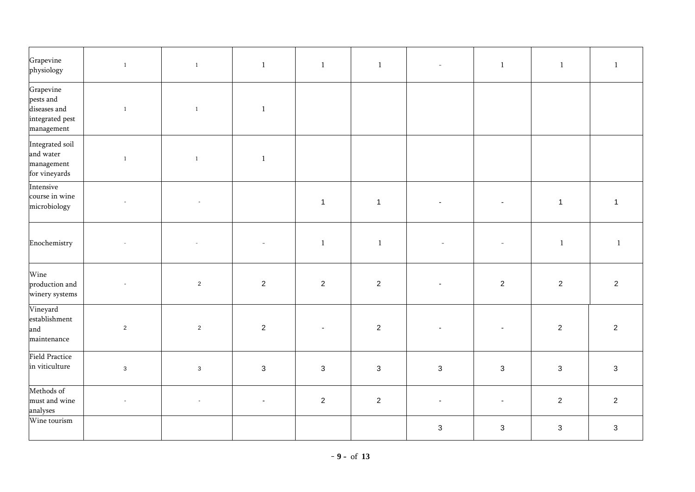| Grapevine<br>physiology                                                 | $\overline{1}$ | $\mathbf{1}$             | $\mathbf{1}$   | $\mathbf{1}$   | $\mathbf{1}$   | $\equiv$                  | $\mathbf{1}$   | $\mathbf{1}$   | $\mathbf{1}$   |
|-------------------------------------------------------------------------|----------------|--------------------------|----------------|----------------|----------------|---------------------------|----------------|----------------|----------------|
| Grapevine<br>pests and<br>diseases and<br>integrated pest<br>management | $\,$ 1 $\,$    | $\,1\,$                  | $\,1\,$        |                |                |                           |                |                |                |
| Integrated soil<br>and water<br>management<br>for vineyards             | $\mathbf{1}$   | $1\,$                    | $1\,$          |                |                |                           |                |                |                |
| Intensive<br>course in wine<br>microbiology                             |                | $\sim$                   |                | $\overline{1}$ | $\mathbf{1}$   |                           |                | $\mathbf{1}$   | $\mathbf{1}$   |
| Enochemistry                                                            |                | $\overline{\phantom{a}}$ |                | $\,1\,$        | $\,1\,$        |                           |                | $\,1\,$        | $\,1\,$        |
| Wine<br>production and<br>winery systems                                |                | $\overline{2}$           | $\overline{2}$ | $\overline{2}$ | $\overline{2}$ |                           | $\overline{2}$ | $\overline{2}$ | $\overline{2}$ |
| Vineyard<br>establishment<br>and<br>maintenance                         | $\sqrt{2}$     | $\mathbf{2}$             | $\sqrt{2}$     |                | $\sqrt{2}$     |                           |                | $\sqrt{2}$     | $\overline{2}$ |
| <b>Field Practice</b><br>in viticulture                                 | $\mathbf 3$    | $\mathbf{3}$             | $\mathbf{3}$   | $\mathbf{3}$   | $\mathbf 3$    | $\mathbf{3}$              | $\sqrt{3}$     | $\mathsf 3$    | $\mathbf{3}$   |
| Methods of<br>must and wine<br>analyses                                 | $\omega$       | $\blacksquare$           | $\blacksquare$ | $\overline{2}$ | $\overline{2}$ |                           | $\blacksquare$ | $\sqrt{2}$     | $\overline{2}$ |
| Wine tourism                                                            |                |                          |                |                |                | $\ensuremath{\mathsf{3}}$ | $\sqrt{3}$     | $\sqrt{3}$     | $\mathbf{3}$   |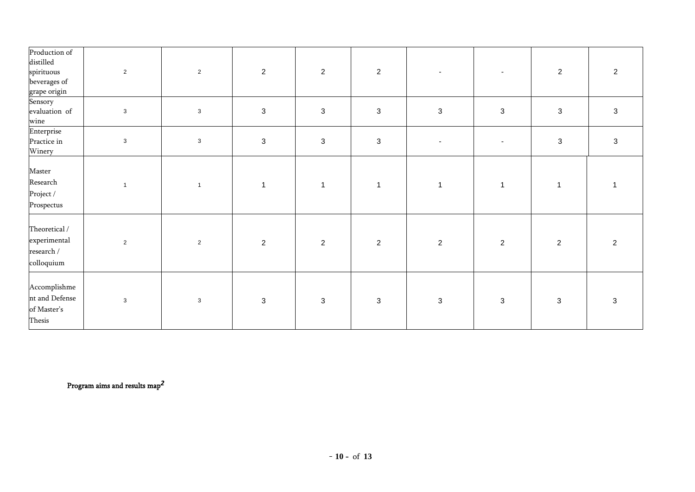| Production of<br>distilled<br>spirituous<br>beverages of<br>grape origin | $\overline{2}$ | $\overline{2}$ | $\overline{2}$       | $\overline{2}$            | $\overline{2}$            |                          | $\overline{\phantom{a}}$  | $\overline{2}$            | $\overline{2}$ |
|--------------------------------------------------------------------------|----------------|----------------|----------------------|---------------------------|---------------------------|--------------------------|---------------------------|---------------------------|----------------|
| Sensory<br>evaluation of<br>wine                                         | $\mathbf{3}$   | $\mathbf{3}$   | $\sqrt{3}$           | $\ensuremath{\mathsf{3}}$ | $\ensuremath{\mathsf{3}}$ | $\mathbf{3}$             | $\ensuremath{\mathsf{3}}$ | $\ensuremath{\mathsf{3}}$ | $\sqrt{3}$     |
| Enterprise<br>Practice in<br>Winery                                      | $\mathbf{3}$   | $\mathbf{3}$   | $\mathbf{3}$         | $\mathbf{3}$              | $\mathsf 3$               | $\overline{\phantom{a}}$ | $\blacksquare$            | $\mathsf 3$               | $\mathbf{3}$   |
| Master<br>Research<br>Project /<br>Prospectus                            | $\overline{1}$ | $\overline{1}$ | $\blacktriangleleft$ | $\overline{1}$            | $\mathbf{1}$              | $\overline{1}$           | $\mathbf{1}$              | $\mathbf 1$               |                |
| Theoretical /<br>experimental<br>research /<br>colloquium                | $\overline{2}$ | $\overline{2}$ | $\overline{2}$       | $\overline{2}$            | $\sqrt{2}$                | $\overline{2}$           | $\sqrt{2}$                | $\overline{2}$            | 2              |
| Accomplishme<br>nt and Defense<br>of Master's<br>Thesis                  | $\mathbf{3}$   | $\mathbf{3}$   | $\mathbf{3}$         | $\mathbf{3}$              | $\mathbf{3}$              | $\mathbf{3}$             | 3                         | $\mathbf{3}$              | $\mathbf{3}$   |

Program aims and results map *2*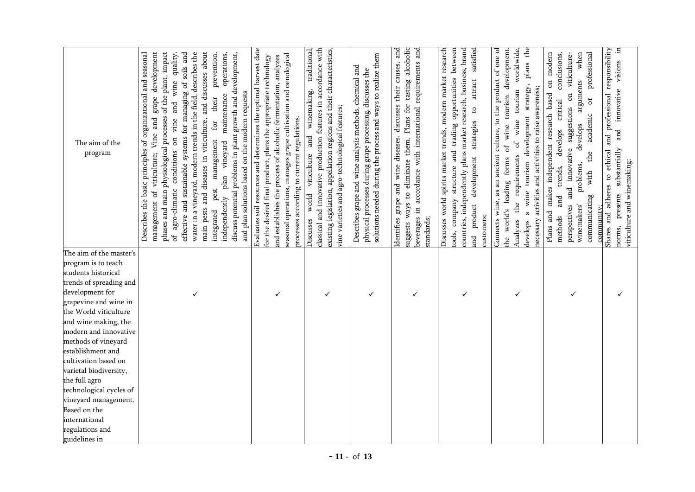| The aim of the<br>program                 | main pests and diseases in viticulture, and discusses about<br>development<br>phases and main physiological processes of the plant, impact<br>effective and sustainable systems for managing of soils and<br>water in a vineyard, modern trends in the field, describes the<br>prevention,<br>seasonal<br>discuss potential problems in plant growth and development,<br>quality,<br>operations,<br>Describes the basic principles of organizational and<br>wine<br>and plan solutions based on the modern requests<br>maintenance<br>grape<br>their<br>and<br>$_{\rm rad}$<br>vine<br>for<br>of viticulture; Vine<br>$\overline{a}$<br>management<br>plan vineyard<br>conditions<br>pest<br>agro-climatic<br>independently<br>management<br>integrated<br>ЪÓ | Evaluates soil resources and determines the optimal harvest date<br>seasonal operations, manages grape cultivation and oenological<br>for the desired final product, plans the appropriate technology<br>and establishes the process of alcoholic fermentation, analyzes<br>processes according to current regulations. | classical and innovative production features in accordance with<br>traditional,<br>existing legislation, appellation regions and their characteristics,<br>winemaking,<br>vine varieties and agro-technological features;<br>and<br>viticulture<br>world<br>Discusses | solutions needed during the process and ways to realize them<br>Describes grape and wine analysis methods, chemical and<br>physical processes during grape processing, discusses the | beverages in accordance with international requirements and<br>dentifies grape and wine diseases, discusses their causes, and<br>Plans for tasting alcoholic<br>suggests ways to eliminate them.<br>standards; | satisfied<br>Discusses world spirits market trends, modern market research<br>countries, independently plans market research, business, brand<br>between<br>structure and trading opportunities<br>attract<br>$\mathfrak{g}$<br>strategies<br>development<br>tools, company<br>product<br>customers;<br>and | plans the<br>Connects wine, as an ancient culture, to the product of one of<br>of wine tourism development.<br>worldwide,<br>strategy,<br>necessary activities and activities to raise awareness;<br>tourism<br>development<br>wine<br>$\mathfrak{b}$<br>requirements<br>forms<br>a wine tourism<br>world's leading<br>the<br>Analyzes<br>develops<br>the | Plans and makes independent research based on modern<br>conclusions,<br>when<br>professional<br>viticulture-<br>arguments<br>$\overline{5}$<br>$\sigma$<br>critical<br>suggestions<br>academic<br>develops<br>develops<br>innovative<br>$_{\rm the}$<br>problems,<br>trends,<br>with<br>and<br>communicating<br>and<br>perspectives<br>winemakers<br>community;<br>methods | and professional responsibility<br>in<br>visions<br>innovative<br>and<br>substantially<br>adheres to ethical<br>viticulture and winemaking;<br>presents<br>Shares and<br>norms, |
|-------------------------------------------|---------------------------------------------------------------------------------------------------------------------------------------------------------------------------------------------------------------------------------------------------------------------------------------------------------------------------------------------------------------------------------------------------------------------------------------------------------------------------------------------------------------------------------------------------------------------------------------------------------------------------------------------------------------------------------------------------------------------------------------------------------------|-------------------------------------------------------------------------------------------------------------------------------------------------------------------------------------------------------------------------------------------------------------------------------------------------------------------------|-----------------------------------------------------------------------------------------------------------------------------------------------------------------------------------------------------------------------------------------------------------------------|--------------------------------------------------------------------------------------------------------------------------------------------------------------------------------------|----------------------------------------------------------------------------------------------------------------------------------------------------------------------------------------------------------------|-------------------------------------------------------------------------------------------------------------------------------------------------------------------------------------------------------------------------------------------------------------------------------------------------------------|-----------------------------------------------------------------------------------------------------------------------------------------------------------------------------------------------------------------------------------------------------------------------------------------------------------------------------------------------------------|----------------------------------------------------------------------------------------------------------------------------------------------------------------------------------------------------------------------------------------------------------------------------------------------------------------------------------------------------------------------------|---------------------------------------------------------------------------------------------------------------------------------------------------------------------------------|
| The aim of the master's                   |                                                                                                                                                                                                                                                                                                                                                                                                                                                                                                                                                                                                                                                                                                                                                               |                                                                                                                                                                                                                                                                                                                         |                                                                                                                                                                                                                                                                       |                                                                                                                                                                                      |                                                                                                                                                                                                                |                                                                                                                                                                                                                                                                                                             |                                                                                                                                                                                                                                                                                                                                                           |                                                                                                                                                                                                                                                                                                                                                                            |                                                                                                                                                                                 |
| program is to teach                       |                                                                                                                                                                                                                                                                                                                                                                                                                                                                                                                                                                                                                                                                                                                                                               |                                                                                                                                                                                                                                                                                                                         |                                                                                                                                                                                                                                                                       |                                                                                                                                                                                      |                                                                                                                                                                                                                |                                                                                                                                                                                                                                                                                                             |                                                                                                                                                                                                                                                                                                                                                           |                                                                                                                                                                                                                                                                                                                                                                            |                                                                                                                                                                                 |
| students historical                       |                                                                                                                                                                                                                                                                                                                                                                                                                                                                                                                                                                                                                                                                                                                                                               |                                                                                                                                                                                                                                                                                                                         |                                                                                                                                                                                                                                                                       |                                                                                                                                                                                      |                                                                                                                                                                                                                |                                                                                                                                                                                                                                                                                                             |                                                                                                                                                                                                                                                                                                                                                           |                                                                                                                                                                                                                                                                                                                                                                            |                                                                                                                                                                                 |
| trends of spreading and                   |                                                                                                                                                                                                                                                                                                                                                                                                                                                                                                                                                                                                                                                                                                                                                               |                                                                                                                                                                                                                                                                                                                         |                                                                                                                                                                                                                                                                       |                                                                                                                                                                                      |                                                                                                                                                                                                                |                                                                                                                                                                                                                                                                                                             |                                                                                                                                                                                                                                                                                                                                                           |                                                                                                                                                                                                                                                                                                                                                                            |                                                                                                                                                                                 |
| development for                           | ✓                                                                                                                                                                                                                                                                                                                                                                                                                                                                                                                                                                                                                                                                                                                                                             | ✓                                                                                                                                                                                                                                                                                                                       | ✓                                                                                                                                                                                                                                                                     | $\checkmark$                                                                                                                                                                         | $\checkmark$                                                                                                                                                                                                   | ✓                                                                                                                                                                                                                                                                                                           | ✓                                                                                                                                                                                                                                                                                                                                                         | ✓                                                                                                                                                                                                                                                                                                                                                                          | ✓                                                                                                                                                                               |
| grapevine and wine in                     |                                                                                                                                                                                                                                                                                                                                                                                                                                                                                                                                                                                                                                                                                                                                                               |                                                                                                                                                                                                                                                                                                                         |                                                                                                                                                                                                                                                                       |                                                                                                                                                                                      |                                                                                                                                                                                                                |                                                                                                                                                                                                                                                                                                             |                                                                                                                                                                                                                                                                                                                                                           |                                                                                                                                                                                                                                                                                                                                                                            |                                                                                                                                                                                 |
| the World viticulture                     |                                                                                                                                                                                                                                                                                                                                                                                                                                                                                                                                                                                                                                                                                                                                                               |                                                                                                                                                                                                                                                                                                                         |                                                                                                                                                                                                                                                                       |                                                                                                                                                                                      |                                                                                                                                                                                                                |                                                                                                                                                                                                                                                                                                             |                                                                                                                                                                                                                                                                                                                                                           |                                                                                                                                                                                                                                                                                                                                                                            |                                                                                                                                                                                 |
| and wine making, the                      |                                                                                                                                                                                                                                                                                                                                                                                                                                                                                                                                                                                                                                                                                                                                                               |                                                                                                                                                                                                                                                                                                                         |                                                                                                                                                                                                                                                                       |                                                                                                                                                                                      |                                                                                                                                                                                                                |                                                                                                                                                                                                                                                                                                             |                                                                                                                                                                                                                                                                                                                                                           |                                                                                                                                                                                                                                                                                                                                                                            |                                                                                                                                                                                 |
| modern and innovative                     |                                                                                                                                                                                                                                                                                                                                                                                                                                                                                                                                                                                                                                                                                                                                                               |                                                                                                                                                                                                                                                                                                                         |                                                                                                                                                                                                                                                                       |                                                                                                                                                                                      |                                                                                                                                                                                                                |                                                                                                                                                                                                                                                                                                             |                                                                                                                                                                                                                                                                                                                                                           |                                                                                                                                                                                                                                                                                                                                                                            |                                                                                                                                                                                 |
| methods of vineyard                       |                                                                                                                                                                                                                                                                                                                                                                                                                                                                                                                                                                                                                                                                                                                                                               |                                                                                                                                                                                                                                                                                                                         |                                                                                                                                                                                                                                                                       |                                                                                                                                                                                      |                                                                                                                                                                                                                |                                                                                                                                                                                                                                                                                                             |                                                                                                                                                                                                                                                                                                                                                           |                                                                                                                                                                                                                                                                                                                                                                            |                                                                                                                                                                                 |
| establishment and<br>cultivation based on |                                                                                                                                                                                                                                                                                                                                                                                                                                                                                                                                                                                                                                                                                                                                                               |                                                                                                                                                                                                                                                                                                                         |                                                                                                                                                                                                                                                                       |                                                                                                                                                                                      |                                                                                                                                                                                                                |                                                                                                                                                                                                                                                                                                             |                                                                                                                                                                                                                                                                                                                                                           |                                                                                                                                                                                                                                                                                                                                                                            |                                                                                                                                                                                 |
| varietal biodiversity,                    |                                                                                                                                                                                                                                                                                                                                                                                                                                                                                                                                                                                                                                                                                                                                                               |                                                                                                                                                                                                                                                                                                                         |                                                                                                                                                                                                                                                                       |                                                                                                                                                                                      |                                                                                                                                                                                                                |                                                                                                                                                                                                                                                                                                             |                                                                                                                                                                                                                                                                                                                                                           |                                                                                                                                                                                                                                                                                                                                                                            |                                                                                                                                                                                 |
| the full agro                             |                                                                                                                                                                                                                                                                                                                                                                                                                                                                                                                                                                                                                                                                                                                                                               |                                                                                                                                                                                                                                                                                                                         |                                                                                                                                                                                                                                                                       |                                                                                                                                                                                      |                                                                                                                                                                                                                |                                                                                                                                                                                                                                                                                                             |                                                                                                                                                                                                                                                                                                                                                           |                                                                                                                                                                                                                                                                                                                                                                            |                                                                                                                                                                                 |
| technological cycles of                   |                                                                                                                                                                                                                                                                                                                                                                                                                                                                                                                                                                                                                                                                                                                                                               |                                                                                                                                                                                                                                                                                                                         |                                                                                                                                                                                                                                                                       |                                                                                                                                                                                      |                                                                                                                                                                                                                |                                                                                                                                                                                                                                                                                                             |                                                                                                                                                                                                                                                                                                                                                           |                                                                                                                                                                                                                                                                                                                                                                            |                                                                                                                                                                                 |
| vineyard management.                      |                                                                                                                                                                                                                                                                                                                                                                                                                                                                                                                                                                                                                                                                                                                                                               |                                                                                                                                                                                                                                                                                                                         |                                                                                                                                                                                                                                                                       |                                                                                                                                                                                      |                                                                                                                                                                                                                |                                                                                                                                                                                                                                                                                                             |                                                                                                                                                                                                                                                                                                                                                           |                                                                                                                                                                                                                                                                                                                                                                            |                                                                                                                                                                                 |
| Based on the                              |                                                                                                                                                                                                                                                                                                                                                                                                                                                                                                                                                                                                                                                                                                                                                               |                                                                                                                                                                                                                                                                                                                         |                                                                                                                                                                                                                                                                       |                                                                                                                                                                                      |                                                                                                                                                                                                                |                                                                                                                                                                                                                                                                                                             |                                                                                                                                                                                                                                                                                                                                                           |                                                                                                                                                                                                                                                                                                                                                                            |                                                                                                                                                                                 |
| international                             |                                                                                                                                                                                                                                                                                                                                                                                                                                                                                                                                                                                                                                                                                                                                                               |                                                                                                                                                                                                                                                                                                                         |                                                                                                                                                                                                                                                                       |                                                                                                                                                                                      |                                                                                                                                                                                                                |                                                                                                                                                                                                                                                                                                             |                                                                                                                                                                                                                                                                                                                                                           |                                                                                                                                                                                                                                                                                                                                                                            |                                                                                                                                                                                 |
| regulations and                           |                                                                                                                                                                                                                                                                                                                                                                                                                                                                                                                                                                                                                                                                                                                                                               |                                                                                                                                                                                                                                                                                                                         |                                                                                                                                                                                                                                                                       |                                                                                                                                                                                      |                                                                                                                                                                                                                |                                                                                                                                                                                                                                                                                                             |                                                                                                                                                                                                                                                                                                                                                           |                                                                                                                                                                                                                                                                                                                                                                            |                                                                                                                                                                                 |
| guidelines in                             |                                                                                                                                                                                                                                                                                                                                                                                                                                                                                                                                                                                                                                                                                                                                                               |                                                                                                                                                                                                                                                                                                                         |                                                                                                                                                                                                                                                                       |                                                                                                                                                                                      |                                                                                                                                                                                                                |                                                                                                                                                                                                                                                                                                             |                                                                                                                                                                                                                                                                                                                                                           |                                                                                                                                                                                                                                                                                                                                                                            |                                                                                                                                                                                 |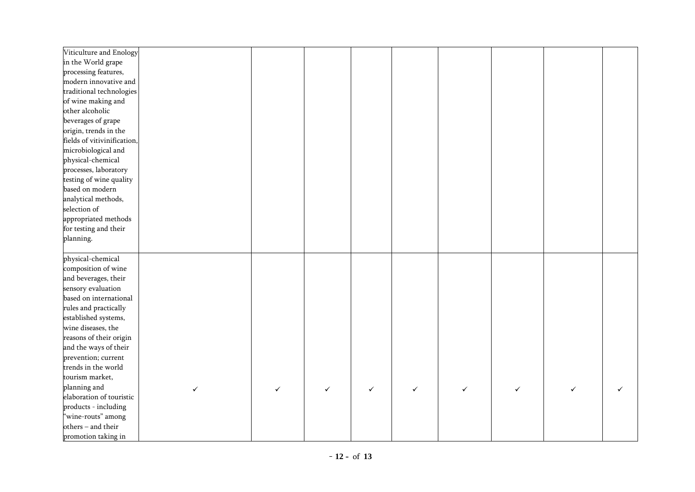| Viticulture and Enology     |   |              |   |   |   |   |   |  |
|-----------------------------|---|--------------|---|---|---|---|---|--|
| in the World grape          |   |              |   |   |   |   |   |  |
| processing features,        |   |              |   |   |   |   |   |  |
| modern innovative and       |   |              |   |   |   |   |   |  |
| traditional technologies    |   |              |   |   |   |   |   |  |
| of wine making and          |   |              |   |   |   |   |   |  |
| other alcoholic             |   |              |   |   |   |   |   |  |
| beverages of grape          |   |              |   |   |   |   |   |  |
| origin, trends in the       |   |              |   |   |   |   |   |  |
| fields of vitivinification, |   |              |   |   |   |   |   |  |
| microbiological and         |   |              |   |   |   |   |   |  |
| physical-chemical           |   |              |   |   |   |   |   |  |
| processes, laboratory       |   |              |   |   |   |   |   |  |
| testing of wine quality     |   |              |   |   |   |   |   |  |
| based on modern             |   |              |   |   |   |   |   |  |
| analytical methods,         |   |              |   |   |   |   |   |  |
| selection of                |   |              |   |   |   |   |   |  |
| appropriated methods        |   |              |   |   |   |   |   |  |
| for testing and their       |   |              |   |   |   |   |   |  |
| planning.                   |   |              |   |   |   |   |   |  |
|                             |   |              |   |   |   |   |   |  |
| physical-chemical           |   |              |   |   |   |   |   |  |
| composition of wine         |   |              |   |   |   |   |   |  |
| and beverages, their        |   |              |   |   |   |   |   |  |
| sensory evaluation          |   |              |   |   |   |   |   |  |
| based on international      |   |              |   |   |   |   |   |  |
| rules and practically       |   |              |   |   |   |   |   |  |
| established systems,        |   |              |   |   |   |   |   |  |
| wine diseases, the          |   |              |   |   |   |   |   |  |
| reasons of their origin     |   |              |   |   |   |   |   |  |
| and the ways of their       |   |              |   |   |   |   |   |  |
| prevention; current         |   |              |   |   |   |   |   |  |
| trends in the world         |   |              |   |   |   |   |   |  |
| tourism market,             |   |              |   |   |   |   |   |  |
| planning and                | ✓ | $\checkmark$ | ✓ | ✓ | ✓ | ✓ | ✓ |  |
| elaboration of touristic    |   |              |   |   |   |   |   |  |
| products - including        |   |              |   |   |   |   |   |  |
| "wine-routs" among          |   |              |   |   |   |   |   |  |
| others - and their          |   |              |   |   |   |   |   |  |
| promotion taking in         |   |              |   |   |   |   |   |  |